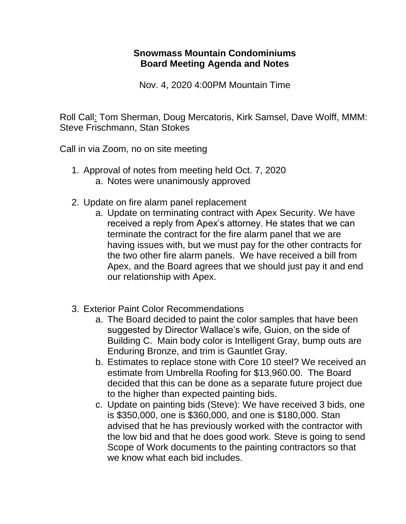## **Snowmass Mountain Condominiums Board Meeting Agenda and Notes**

Nov. 4, 2020 4:00PM Mountain Time

Roll Call: Tom Sherman, Doug Mercatoris, Kirk Samsel, Dave Wolff, MMM: Steve Frischmann, Stan Stokes

Call in via Zoom, no on site meeting

- 1. Approval of notes from meeting held Oct. 7, 2020 a. Notes were unanimously approved
- 2. Update on fire alarm panel replacement
	- a. Update on terminating contract with Apex Security. We have received a reply from Apex's attorney. He states that we can terminate the contract for the fire alarm panel that we are having issues with, but we must pay for the other contracts for the two other fire alarm panels. We have received a bill from Apex, and the Board agrees that we should just pay it and end our relationship with Apex.
- 3. Exterior Paint Color Recommendations
	- a. The Board decided to paint the color samples that have been suggested by Director Wallace's wife, Guion, on the side of Building C. Main body color is Intelligent Gray, bump outs are Enduring Bronze, and trim is Gauntlet Gray.
	- b. Estimates to replace stone with Core 10 steel? We received an estimate from Umbrella Roofing for \$13,960.00. The Board decided that this can be done as a separate future project due to the higher than expected painting bids.
	- c. Update on painting bids (Steve): We have received 3 bids, one is \$350,000, one is \$360,000, and one is \$180,000. Stan advised that he has previously worked with the contractor with the low bid and that he does good work. Steve is going to send Scope of Work documents to the painting contractors so that we know what each bid includes.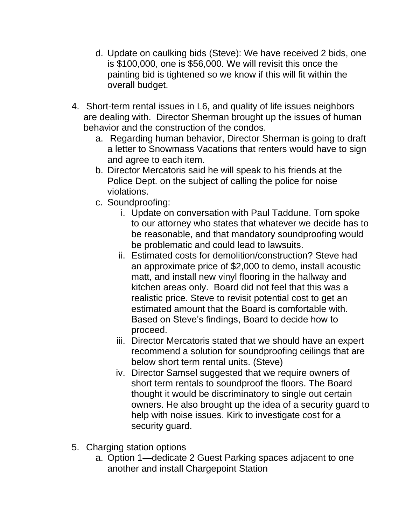- d. Update on caulking bids (Steve): We have received 2 bids, one is \$100,000, one is \$56,000. We will revisit this once the painting bid is tightened so we know if this will fit within the overall budget.
- 4. Short-term rental issues in L6, and quality of life issues neighbors are dealing with. Director Sherman brought up the issues of human behavior and the construction of the condos.
	- a. Regarding human behavior, Director Sherman is going to draft a letter to Snowmass Vacations that renters would have to sign and agree to each item.
	- b. Director Mercatoris said he will speak to his friends at the Police Dept. on the subject of calling the police for noise violations.
	- c. Soundproofing:
		- i. Update on conversation with Paul Taddune. Tom spoke to our attorney who states that whatever we decide has to be reasonable, and that mandatory soundproofing would be problematic and could lead to lawsuits.
		- ii. Estimated costs for demolition/construction? Steve had an approximate price of \$2,000 to demo, install acoustic matt, and install new vinyl flooring in the hallway and kitchen areas only. Board did not feel that this was a realistic price. Steve to revisit potential cost to get an estimated amount that the Board is comfortable with. Based on Steve's findings, Board to decide how to proceed.
		- iii. Director Mercatoris stated that we should have an expert recommend a solution for soundproofing ceilings that are below short term rental units. (Steve)
		- iv. Director Samsel suggested that we require owners of short term rentals to soundproof the floors. The Board thought it would be discriminatory to single out certain owners. He also brought up the idea of a security guard to help with noise issues. Kirk to investigate cost for a security guard.
- 5. Charging station options
	- a. Option 1—dedicate 2 Guest Parking spaces adjacent to one another and install Chargepoint Station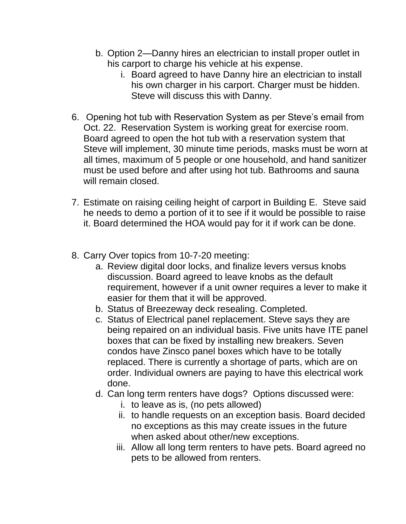- b. Option 2—Danny hires an electrician to install proper outlet in his carport to charge his vehicle at his expense.
	- i. Board agreed to have Danny hire an electrician to install his own charger in his carport. Charger must be hidden. Steve will discuss this with Danny.
- 6. Opening hot tub with Reservation System as per Steve's email from Oct. 22. Reservation System is working great for exercise room. Board agreed to open the hot tub with a reservation system that Steve will implement, 30 minute time periods, masks must be worn at all times, maximum of 5 people or one household, and hand sanitizer must be used before and after using hot tub. Bathrooms and sauna will remain closed.
- 7. Estimate on raising ceiling height of carport in Building E. Steve said he needs to demo a portion of it to see if it would be possible to raise it. Board determined the HOA would pay for it if work can be done.
- 8. Carry Over topics from 10-7-20 meeting:
	- a. Review digital door locks, and finalize levers versus knobs discussion. Board agreed to leave knobs as the default requirement, however if a unit owner requires a lever to make it easier for them that it will be approved.
	- b. Status of Breezeway deck resealing. Completed.
	- c. Status of Electrical panel replacement. Steve says they are being repaired on an individual basis. Five units have ITE panel boxes that can be fixed by installing new breakers. Seven condos have Zinsco panel boxes which have to be totally replaced. There is currently a shortage of parts, which are on order. Individual owners are paying to have this electrical work done.
	- d. Can long term renters have dogs? Options discussed were:
		- i. to leave as is, (no pets allowed)
		- ii. to handle requests on an exception basis. Board decided no exceptions as this may create issues in the future when asked about other/new exceptions.
		- iii. Allow all long term renters to have pets. Board agreed no pets to be allowed from renters.